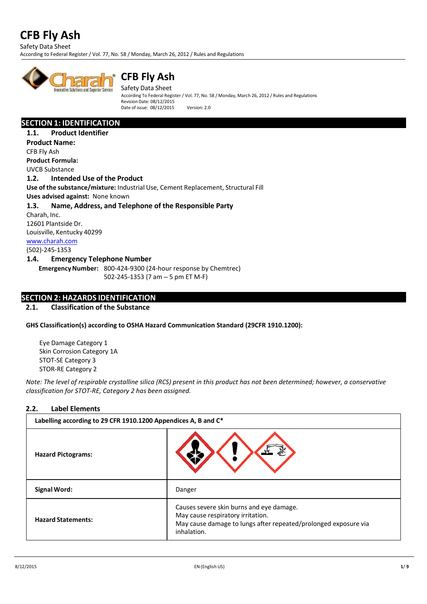Safety Data Sheet

According to Federal Register / Vol. 77, No. 58 / Monday, March 26, 2012 / Rules and Regulations



# **CFB Fly Ash**

Safety Data Sheet According To Federal Register / Vol. 77, No. 58 / Monday, March 26, 2012 / Rules and Regulations  $R$ evision Date: 08/12/2015 Date of issue: 08/12/2015 Version: 2.0

# **SECTION 1: IDENTIFICATION**

**1.1. Product Identifier Product Name:** CFB Fly Ash **Product Formula:**  UVCB Substance **1.2. Intended Use of the Product Use of the substance/mixture:** Industrial Use, Cement Replacement, Structural Fill **Uses advised against:** None known **1.3. Name, Address, and Telephone of the Responsible Party** Charah, Inc. 12601 Plantside Dr. Louisville, Kentucky 40299 [www.charah.com](http://www.charah.com/) (502)-245-1353 **1.4. Emergency Telephone Number EmergencyNumber:** 800-424-9300 (24-hour response by Chemtrec) 502-245-1353 (7 am – 5 pm ET M-F)

# **SECTION 2: HAZARDS IDENTIFICATION**

### **2.1. Classification of the Substance**

**GHS Classification(s) according to OSHA Hazard Communication Standard (29CFR 1910.1200):**

Eye Damage Category 1 Skin Corrosion Category 1A STOT-SE Category 3 STOR-RE Category 2

*Note: The level of respirable crystalline silica (RCS) present in this product has not been determined; however, a conservative classification for STOT-RE, Category 2 has been assigned.*

#### **2.2. Label Elements**

| Labelling according to 29 CFR 1910.1200 Appendices A, B and C* |                                                                                                                                                                 |  |  |  |  |  |
|----------------------------------------------------------------|-----------------------------------------------------------------------------------------------------------------------------------------------------------------|--|--|--|--|--|
| <b>Hazard Pictograms:</b>                                      |                                                                                                                                                                 |  |  |  |  |  |
| <b>Signal Word:</b>                                            | Danger                                                                                                                                                          |  |  |  |  |  |
| <b>Hazard Statements:</b>                                      | Causes severe skin burns and eye damage.<br>May cause respiratory irritation.<br>May cause damage to lungs after repeated/prolonged exposure via<br>inhalation. |  |  |  |  |  |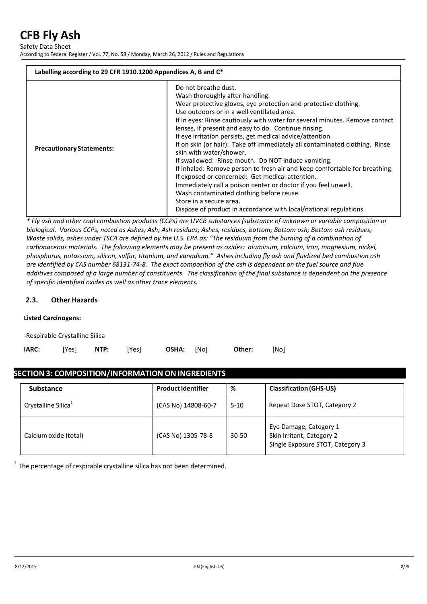Safety Data Sheet

According to Federal Register / Vol. 77, No. 58 / Monday, March 26, 2012 / Rules and Regulations

| Labelling according to 29 CFR 1910.1200 Appendices A, B and C* |                                                                                                                                                                                                                                                                                                                                                                                                                                                                                                                                                                                                                                                                                                                                                                                                                                                                                             |  |  |  |  |
|----------------------------------------------------------------|---------------------------------------------------------------------------------------------------------------------------------------------------------------------------------------------------------------------------------------------------------------------------------------------------------------------------------------------------------------------------------------------------------------------------------------------------------------------------------------------------------------------------------------------------------------------------------------------------------------------------------------------------------------------------------------------------------------------------------------------------------------------------------------------------------------------------------------------------------------------------------------------|--|--|--|--|
| <b>Precautionary Statements:</b>                               | Do not breathe dust.<br>Wash thoroughly after handling.<br>Wear protective gloves, eye protection and protective clothing.<br>Use outdoors or in a well ventilated area.<br>If in eyes: Rinse cautiously with water for several minutes. Remove contact<br>lenses, if present and easy to do. Continue rinsing.<br>If eye irritation persists, get medical advice/attention.<br>If on skin (or hair): Take off immediately all contaminated clothing. Rinse<br>skin with water/shower.<br>If swallowed: Rinse mouth. Do NOT induce vomiting.<br>If inhaled: Remove person to fresh air and keep comfortable for breathing.<br>If exposed or concerned: Get medical attention.<br>Immediately call a poison center or doctor if you feel unwell.<br>Wash contaminated clothing before reuse.<br>Store in a secure area.<br>Dispose of product in accordance with local/national regulations. |  |  |  |  |

*\* Fly ash and other coal combustion products (CCPs) are UVCB substances (substance of unknown or variable composition or biological. Various CCPs, noted as Ashes; Ash; Ash residues; Ashes, residues, bottom; Bottom ash; Bottom ash residues; Waste solids, ashes under TSCA are defined by the U.S. EPA as: "The residuum from the burning of a combination of carbonaceous materials. The following elements may be present as oxides: aluminum, calcium, iron, magnesium, nickel, phosphorus, potassium, silicon, sulfur, titanium, and vanadium." Ashes including fly ash and fluidized bed combustion ash are identified by CAS number 68131-74-8. The exact composition of the ash is dependent on the fuel source and flue additives composed of a large number of constituents. The classification of the final substance is dependent on the presence of specific identified oxides as well as other trace elements.* 

### **2.3. Other Hazards**

#### **Listed Carcinogens:**

-Respirable Crystalline Silica

| <b>IARC:</b> |  | [Yes] <b>NTP:</b> [Yes] |  | <b>OSHA:</b> [No] |  | Other: | [No] |
|--------------|--|-------------------------|--|-------------------|--|--------|------|
|--------------|--|-------------------------|--|-------------------|--|--------|------|

# **SECTION 3: COMPOSITION/INFORMATION ONINGREDIENTS**

| <b>Substance</b>                | <b>Product Identifier</b> | %         | <b>Classification (GHS-US)</b>                                                          |
|---------------------------------|---------------------------|-----------|-----------------------------------------------------------------------------------------|
| Crystalline Silica <sup>1</sup> | (CAS No) 14808-60-7       | $5-10$    | Repeat Dose STOT, Category 2                                                            |
| Calcium oxide (total)           | (CAS No) 1305-78-8        | $30 - 50$ | Eye Damage, Category 1<br>Skin Irritant, Category 2<br>Single Exposure STOT, Category 3 |

 $1$  The percentage of respirable crystalline silica has not been determined.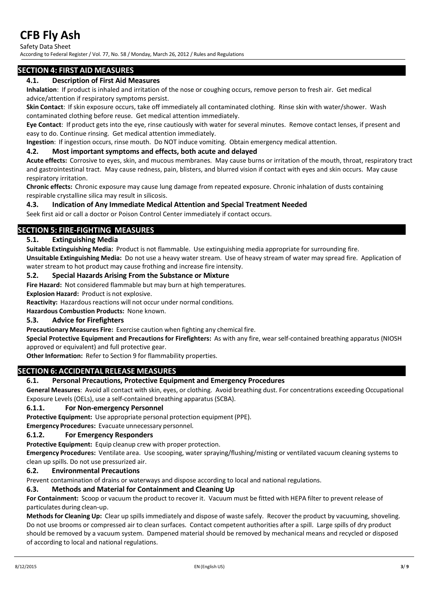Safety Data Sheet

According to Federal Register / Vol. 77, No. 58 / Monday, March 26, 2012 / Rules and Regulations

# **SECTION 4: FIRST AID MEASURES**

#### **4.1. Description of First Aid Measures**

**Inhalation**: If product is inhaled and irritation of the nose or coughing occurs, remove person to fresh air. Get medical advice/attention if respiratory symptoms persist.

**Skin Contact**: If skin exposure occurs, take off immediately all contaminated clothing. Rinse skin with water/shower. Wash contaminated clothing before reuse. Get medical attention immediately.

**Eye Contact**: If product gets into the eye, rinse cautiously with water for several minutes. Remove contact lenses, if present and easy to do. Continue rinsing. Get medical attention immediately.

**Ingestion**: If ingestion occurs, rinse mouth. Do NOT induce vomiting. Obtain emergency medical attention.

#### **4.2. Most important symptoms and effects, both acute and delayed**

**Acute effects:** Corrosive to eyes, skin, and mucous membranes. May cause burns or irritation of the mouth, throat, respiratory tract and gastrointestinal tract. May cause redness, pain, blisters, and blurred vision if contact with eyes and skin occurs. May cause respiratory irritation.

**Chronic effects:** Chronic exposure may cause lung damage from repeated exposure. Chronic inhalation of dusts containing respirable crystalline silica may result in silicosis.

#### **4.3. Indication of Any Immediate Medical Attention and Special Treatment Needed**

Seek first aid or call a doctor or Poison Control Center immediately if contact occurs.

# **SECTION 5: FIRE-FIGHTING MEASURES**

#### **5.1. Extinguishing Media**

**Suitable Extinguishing Media:** Product is not flammable. Use extinguishing media appropriate for surrounding fire. **Unsuitable Extinguishing Media:** Do not use a heavy water stream. Use of heavy stream of water may spread fire. Application of

water stream to hot product may cause frothing and increase fire intensity.

#### **5.2. Special Hazards Arising From the Substance or Mixture**

**Fire Hazard:** Not considered flammable but may burn at high temperatures.

**Explosion Hazard:** Product is not explosive.

Reactivity: Hazardous reactions will not occur under normal conditions.

**Hazardous Combustion Products:** None known.

#### **5.3. Advice for Firefighters**

**Precautionary Measures Fire:** Exercise caution when fighting any chemical fire.

**Special Protective Equipment and Precautions for Firefighters:** As with any fire, wear self-contained breathing apparatus (NIOSH approved or equivalent) and full protective gear.

**Other Information:** Refer to Section 9 for flammability properties.

#### **SECTION 6: ACCIDENTAL RELEASE MEASURES**

#### **6.1. Personal Precautions, Protective Equipment and Emergency Procedures**

**General Measures**: Avoid all contact with skin, eyes, or clothing. Avoid breathing dust. For concentrations exceeding Occupational Exposure Levels (OELs), use a self-contained breathing apparatus (SCBA).

#### **6.1.1. For Non-emergency Personnel**

**Protective Equipment:** Use appropriate personal protection equipment (PPE).

**Emergency Procedures:** Evacuate unnecessary personnel.

#### **6.1.2. For Emergency Responders**

**Protective Equipment:** Equip cleanup crew with proper protection.

**Emergency Procedures:** Ventilate area. Use scooping, water spraying/flushing/misting or ventilated vacuum cleaning systems to clean up spills. Do not use pressurized air.

#### **6.2. Environmental Precautions**

Prevent contamination of drains or waterways and dispose according to local and national regulations.

#### **6.3. Methods and Material for Containment and Cleaning Up**

**For Containment:** Scoop or vacuum the product to recover it. Vacuum must be fitted with HEPA filter to prevent release of particulates during clean-up.

**Methods for Cleaning Up:** Clear up spills immediately and dispose of waste safely. Recover the product by vacuuming, shoveling. Do not use brooms or compressed air to clean surfaces. Contact competent authorities after a spill. Large spills of dry product should be removed by a vacuum system. Dampened material should be removed by mechanical means and recycled or disposed of according to local and national regulations.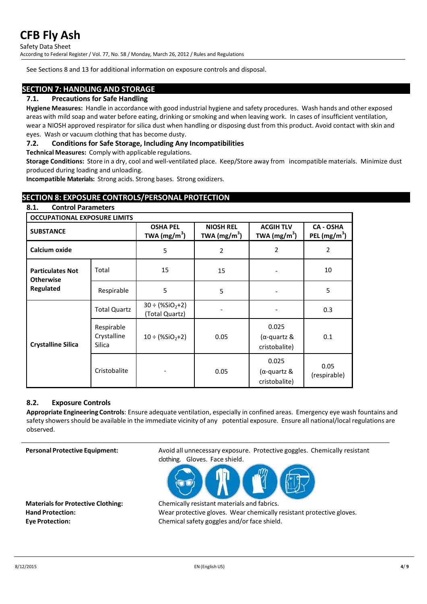Safety Data Sheet

According to Federal Register / Vol. 77, No. 58 / Monday, March 26, 2012 / Rules and Regulations

See Sections 8 and 13 for additional information on exposure controls and disposal.

# **SECTION 7: HANDLING AND STORAGE**

# **7.1. Precautions for Safe Handling**

**Hygiene Measures:** Handle in accordance with good industrial hygiene and safety procedures. Wash hands and other exposed areas with mild soap and water before eating, drinking or smoking and when leaving work. In cases of insufficient ventilation, wear a NIOSH approved respirator for silica dust when handling or disposing dust from this product. Avoid contact with skin and eyes. Wash or vacuum clothing that has become dusty.

## **7.2. Conditions for Safe Storage, Including Any Incompatibilities**

**Technical Measures:** Comply with applicable regulations.

**Storage Conditions:** Store in a dry, cool and well-ventilated place. Keep/Store away from incompatible materials. Minimize dust produced during loading and unloading.

**Incompatible Materials:** Strong acids. Strong bases. Strong oxidizers.

# **SECTION 8: EXPOSURE CONTROLS/PERSONAL PROTECTION**

| 8.1.<br><b>Control Parameters</b>           |                                            |                                       |                                    |                                       |                                    |
|---------------------------------------------|--------------------------------------------|---------------------------------------|------------------------------------|---------------------------------------|------------------------------------|
| <b>OCCUPATIONAL EXPOSURE LIMITS</b>         |                                            |                                       |                                    |                                       |                                    |
| <b>SUBSTANCE</b>                            |                                            | <b>OSHA PEL</b><br>TWA $(mg/m^3)$     | <b>NIOSH REL</b><br>TWA $(mg/m^3)$ | <b>ACGIH TLV</b><br>TWA $(mg/m^3)$    | <b>CA - OSHA</b><br>PEL $(mg/m^3)$ |
| Calcium oxide                               |                                            | 5                                     | 2                                  | 2                                     | 2                                  |
| <b>Particulates Not</b><br><b>Otherwise</b> | Total                                      | 15                                    | 15                                 |                                       | 10                                 |
| Regulated                                   | Respirable                                 | 5                                     | 5                                  |                                       | 5                                  |
| <b>Crystalline Silica</b>                   | <b>Total Quartz</b>                        | $30 \div (%SiO2+2)$<br>(Total Quartz) |                                    |                                       | 0.3                                |
|                                             | Respirable<br>Crystalline<br><b>Silica</b> | $10 \div (%SiO2+2)$                   | 0.05                               | 0.025<br>(α-quartz &<br>cristobalite) | 0.1                                |
|                                             | Cristobalite                               |                                       | 0.05                               | 0.025<br>(α-quartz &<br>cristobalite) | 0.05<br>(respirable)               |

#### **8.2. Exposure Controls**

**Appropriate Engineering Controls**: Ensure adequate ventilation, especially in confined areas. Emergency eye wash fountains and safety showers should be available in the immediate vicinity of any potential exposure. Ensure all national/local regulations are observed.

**Personal Protective Equipment:** Avoid all unnecessary exposure. Protective goggles. Chemically resistant clothing. Gloves. Face shield.



**Materialsfor Protective Clothing:** Chemically resistant materials and fabrics. **Hand Protection:** Wear protective gloves. Wear chemically resistant protective gloves. **Eye Protection:** Chemicalsafety goggles and/or face shield.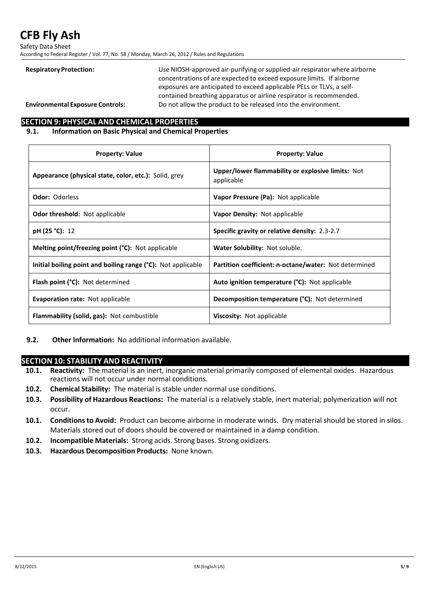Safety Data Sheet

According to Federal Register / Vol. 77, No. 58 / Monday, March 26, 2012 / Rules and Regulations

Respiratory Protection: Use NIOSH-approved air-purifying or supplied-air respirator where airborne concentrations of are expected to exceed exposure limits. If airborne exposures are anticipated to exceed applicable PELs or TLVs, a selfcontained breathing apparatus or airline respirator is recommended. **Environmental Exposure Controls:** Do not allow the product to be released into the environment.

# **SECTION 9: PHYSICAL AND CHEMICAL PROPERTIES**

# **9.1. Information on Basic Physical and Chemical Properties**

| <b>Property: Value</b>                                       | <b>Property: Value</b>                                          |
|--------------------------------------------------------------|-----------------------------------------------------------------|
| Appearance (physical state, color, etc.): Solid, grey        | Upper/lower flammability or explosive limits: Not<br>applicable |
| <b>Odor: Odorless</b>                                        | Vapor Pressure (Pa): Not applicable                             |
| <b>Odor threshold:</b> Not applicable                        | Vapor Density: Not applicable                                   |
| pH (25 °C): 12                                               | Specific gravity or relative density: 2.3-2.7                   |
| Melting point/freezing point (°C): Not applicable            | Water Solubility: Not soluble.                                  |
| Initial boiling point and boiling range (°C): Not applicable | Partition coefficient: n-octane/water: Not determined           |
| <b>Flash point (°C):</b> Not determined                      | <b>Auto ignition temperature (°C):</b> Not applicable           |
| <b>Evaporation rate: Not applicable</b>                      | <b>Decomposition temperature (°C):</b> Not determined           |
| <b>Flammability (solid, gas):</b> Not combustible            | <b>Viscosity:</b> Not applicable                                |

**9.2. Other Information:** No additional information available.

# **SECTION 10: STABILITY AND REACTIVITY**

- **10.1. Reactivity:** The material is an inert, inorganic material primarily composed of elemental oxides. Hazardous reactions will not occur under normal conditions.
- **10.2. Chemical Stability:** The material is stable under normal use conditions.
- **10.3. Possibility of Hazardous Reactions:** The material is a relatively stable, inert material; polymerization will not occur.
- **10.1. Conditionsto Avoid:** Product can become airborne in moderate winds. Dry material should be stored in silos. Materials stored out of doors should be covered or maintained in a damp condition.
- **10.2. Incompatible Materials:** Strong acids. Strong bases. Strong oxidizers.
- **10.3. Hazardous Decomposition Products:** None known.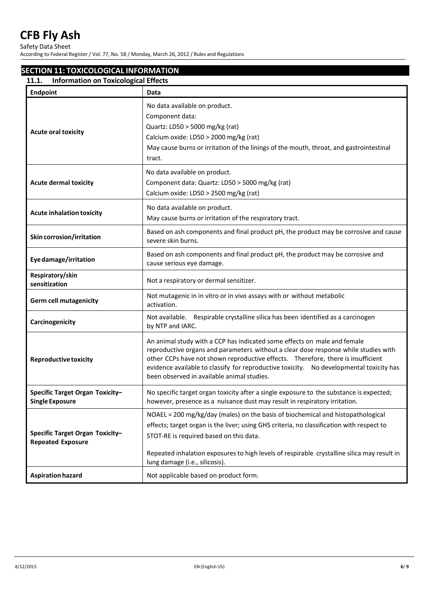Safety Data Sheet

According to Federal Register / Vol. 77, No. 58 / Monday, March 26, 2012 / Rules and Regulations

# **SECTION 11: TOXICOLOGICAL INFORMATION**

| <b>Endpoint</b>                                             | Data                                                                                                                                                                                                                                                                                                                                                                                         |
|-------------------------------------------------------------|----------------------------------------------------------------------------------------------------------------------------------------------------------------------------------------------------------------------------------------------------------------------------------------------------------------------------------------------------------------------------------------------|
| <b>Acute oral toxicity</b>                                  | No data available on product.<br>Component data:<br>Quartz: LD50 > 5000 mg/kg (rat)<br>Calcium oxide: LD50 > 2000 mg/kg (rat)<br>May cause burns or irritation of the linings of the mouth, throat, and gastrointestinal<br>tract.                                                                                                                                                           |
| <b>Acute dermal toxicity</b>                                | No data available on product.<br>Component data: Quartz: LD50 > 5000 mg/kg (rat)<br>Calcium oxide: LD50 > 2500 mg/kg (rat)                                                                                                                                                                                                                                                                   |
| <b>Acute inhalation toxicity</b>                            | No data available on product.<br>May cause burns or irritation of the respiratory tract.                                                                                                                                                                                                                                                                                                     |
| Skin corrosion/irritation                                   | Based on ash components and final product pH, the product may be corrosive and cause<br>severe skin burns.                                                                                                                                                                                                                                                                                   |
| Eye damage/irritation                                       | Based on ash components and final product pH, the product may be corrosive and<br>cause serious eye damage.                                                                                                                                                                                                                                                                                  |
| Respiratory/skin<br>sensitization                           | Not a respiratory or dermal sensitizer.                                                                                                                                                                                                                                                                                                                                                      |
| <b>Germ cell mutagenicity</b>                               | Not mutagenic in in vitro or in vivo assays with or without metabolic<br>activation.                                                                                                                                                                                                                                                                                                         |
| Carcinogenicity                                             | Not available. Respirable crystalline silica has been identified as a carcinogen<br>by NTP and IARC.                                                                                                                                                                                                                                                                                         |
| <b>Reproductive toxicity</b>                                | An animal study with a CCP has indicated some effects on male and female<br>reproductive organs and parameters without a clear dose response while studies with<br>other CCPs have not shown reproductive effects. Therefore, there is insufficient<br>evidence available to classify for reproductive toxicity. No developmental toxicity has<br>been observed in available animal studies. |
| Specific Target Organ Toxicity-<br>Single Exposure          | No specific target organ toxicity after a single exposure to the substance is expected;<br>however, presence as a nuisance dust may result in respiratory irritation.                                                                                                                                                                                                                        |
| Specific Target Organ Toxicity-<br><b>Repeated Exposure</b> | NOAEL = 200 mg/kg/day (males) on the basis of biochemical and histopathological<br>effects; target organ is the liver; using GHS criteria, no classification with respect to<br>STOT-RE is required based on this data.<br>Repeated inhalation exposures to high levels of respirable crystalline silica may result in<br>lung damage (i.e., silicosis).                                     |
| <b>Aspiration hazard</b>                                    | Not applicable based on product form.                                                                                                                                                                                                                                                                                                                                                        |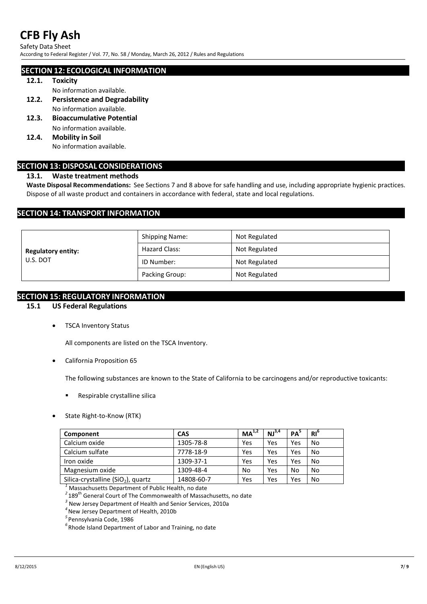Safety Data Sheet

According to Federal Register / Vol. 77, No. 58 / Monday, March 26, 2012 / Rules and Regulations

## **SECTION 12: ECOLOGICAL INFORMATION**

#### **12.1. Toxicity**

No information available.

- **12.2. Persistence and Degradability**  No information available.
- **12.3. Bioaccumulative Potential** No information available.
- **12.4. Mobility in Soil**

No information available.

# **SECTION 13: DISPOSAL CONSIDERATIONS**

# **13.1. Waste treatment methods**

**Waste Disposal Recommendations:** See Sections 7 and 8 above for safe handling and use, including appropriate hygienic practices. Dispose of all waste product and containers in accordance with federal, state and local regulations.

# **SECTION 14: TRANSPORT INFORMATION**

|                                       | <b>Shipping Name:</b> | Not Regulated |  |
|---------------------------------------|-----------------------|---------------|--|
| <b>Regulatory entity:</b><br>U.S. DOT | Hazard Class:         | Not Regulated |  |
|                                       | ID Number:            | Not Regulated |  |
|                                       | Packing Group:        | Not Regulated |  |

## **SECTION 15: REGULATORY INFORMATION**

# **15.1 US Federal Regulations**

• TSCA Inventory Status

All components are listed on the TSCA Inventory.

• California Proposition 65

The following substances are known to the State of California to be carcinogens and/or reproductive toxicants:

- **Respirable crystalline silica**
- State Right-to-Know (RTK)

| Component                                      | <b>CAS</b> | MA <sup>1,2</sup> | NJ <sup>3,4</sup> | PA  | $RI^{\circ}$ |
|------------------------------------------------|------------|-------------------|-------------------|-----|--------------|
| Calcium oxide                                  | 1305-78-8  | Yes               | Yes               | Yes | No           |
| Calcium sulfate                                | 7778-18-9  | Yes               | Yes               | Yes | No           |
| Iron oxide                                     | 1309-37-1  | Yes               | Yes               | Yes | No           |
| Magnesium oxide                                | 1309-48-4  | No                | Yes               | No  | No           |
| Silica-crystalline (SiO <sub>2</sub> ), quartz | 14808-60-7 | Yes               | Yes               | Yes | No           |

**Massachusetts Department of Public Health, no date** 

*<sup>2</sup>*189th General Court of The Commonwealth of Massachusetts, no date *<sup>3</sup>* New Jersey Department of Health and Senior Services, 2010a

<sup>4</sup> New Jersey Department of Health, 2010b

<sup>5</sup> Pennsylvania Code, 1986

<sup>6</sup> Rhode Island Department of Labor and Training, no date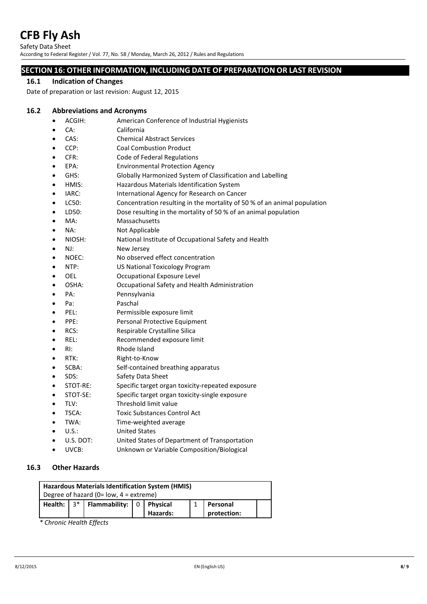Safety Data Sheet According to Federal Register / Vol. 77, No. 58 / Monday, March 26, 2012 / Rules and Regulations

# **SECTION 16: OTHER INFORMATION, INCLUDING DATE OF PREPARATION OR LAST REVISION**

## **16.1 Indication of Changes**

Date of preparation or last revision: August 12, 2015

## **16.2 Abbreviations and Acronyms**

- ACGIH: American Conference of Industrial Hygienists
- CA: California
- CAS: Chemical Abstract Services
- CCP: Coal Combustion Product
- CFR: Code of Federal Regulations
- EPA: Environmental Protection Agency
- GHS: Globally Harmonized System of Classification and Labelling
- HMIS: Hazardous Materials Identification System
- IARC: International Agency for Research on Cancer
- LC50: Concentration resulting in the mortality of 50 % of an animal population
- LD50: Dose resulting in the mortality of 50 % of an animal population
- MA: Massachusetts
- NA: Not Applicable
- NIOSH: National Institute of Occupational Safety and Health
- NJ: New Jersey
- NOEC: No observed effect concentration
- NTP: US National Toxicology Program
- OEL **Occupational Exposure Level**
- OSHA: Occupational Safety and Health Administration
- PA: Pennsylvania
- Pa: Paschal
- PEL: Permissible exposure limit
- PPE: Personal Protective Equipment
- RCS: Respirable Crystalline Silica
- REL: Recommended exposure limit
- RI: Rhode Island
- RTK: Right-to-Know
- SCBA: Self-contained breathing apparatus
- SDS: Safety Data Sheet
- STOT-RE: Specific target organ toxicity-repeated exposure
- STOT-SE: Specific target organ toxicity-single exposure
- TLV: Threshold limit value
- TSCA: Toxic Substances Control Act
- TWA: Time-weighted average
- U.S.: United States
- U.S. DOT: United States of Department of Transportation
- UVCB: Unknown or Variable Composition/Biological

# **16.3 Other Hazards**

| Hazardous Materials Identification System (HMIS) |                                           |                                                                               |  |          |  |             |  |  |
|--------------------------------------------------|-------------------------------------------|-------------------------------------------------------------------------------|--|----------|--|-------------|--|--|
|                                                  | Degree of hazard (0= $low$ , 4 = extreme) |                                                                               |  |          |  |             |  |  |
|                                                  |                                           | Health: $3^*$   Flammability: $\begin{bmatrix} 0 \\ 1 \end{bmatrix}$ Physical |  |          |  | Personal    |  |  |
|                                                  |                                           |                                                                               |  | Hazards: |  | protection: |  |  |

*\* Chronic Health Effects*